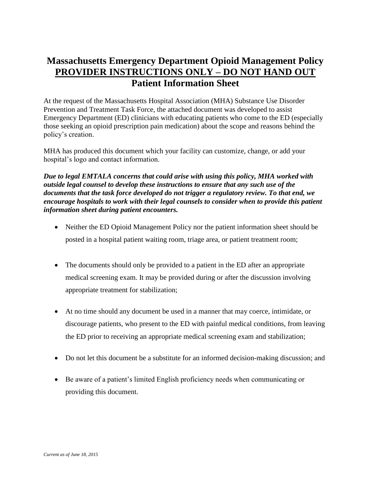## **Massachusetts Emergency Department Opioid Management Policy PROVIDER INSTRUCTIONS ONLY – DO NOT HAND OUT Patient Information Sheet**

At the request of the Massachusetts Hospital Association (MHA) Substance Use Disorder Prevention and Treatment Task Force, the attached document was developed to assist Emergency Department (ED) clinicians with educating patients who come to the ED (especially those seeking an opioid prescription pain medication) about the scope and reasons behind the policy's creation.

MHA has produced this document which your facility can customize, change, or add your hospital's logo and contact information.

*Due to legal EMTALA concerns that could arise with using this policy, MHA worked with outside legal counsel to develop these instructions to ensure that any such use of the documents that the task force developed do not trigger a regulatory review. To that end, we encourage hospitals to work with their legal counsels to consider when to provide this patient information sheet during patient encounters.*

- Neither the ED Opioid Management Policy nor the patient information sheet should be posted in a hospital patient waiting room, triage area, or patient treatment room;
- The documents should only be provided to a patient in the ED after an appropriate medical screening exam. It may be provided during or after the discussion involving appropriate treatment for stabilization;
- At no time should any document be used in a manner that may coerce, intimidate, or discourage patients, who present to the ED with painful medical conditions, from leaving the ED prior to receiving an appropriate medical screening exam and stabilization;
- Do not let this document be a substitute for an informed decision-making discussion; and
- Be aware of a patient's limited English proficiency needs when communicating or providing this document.